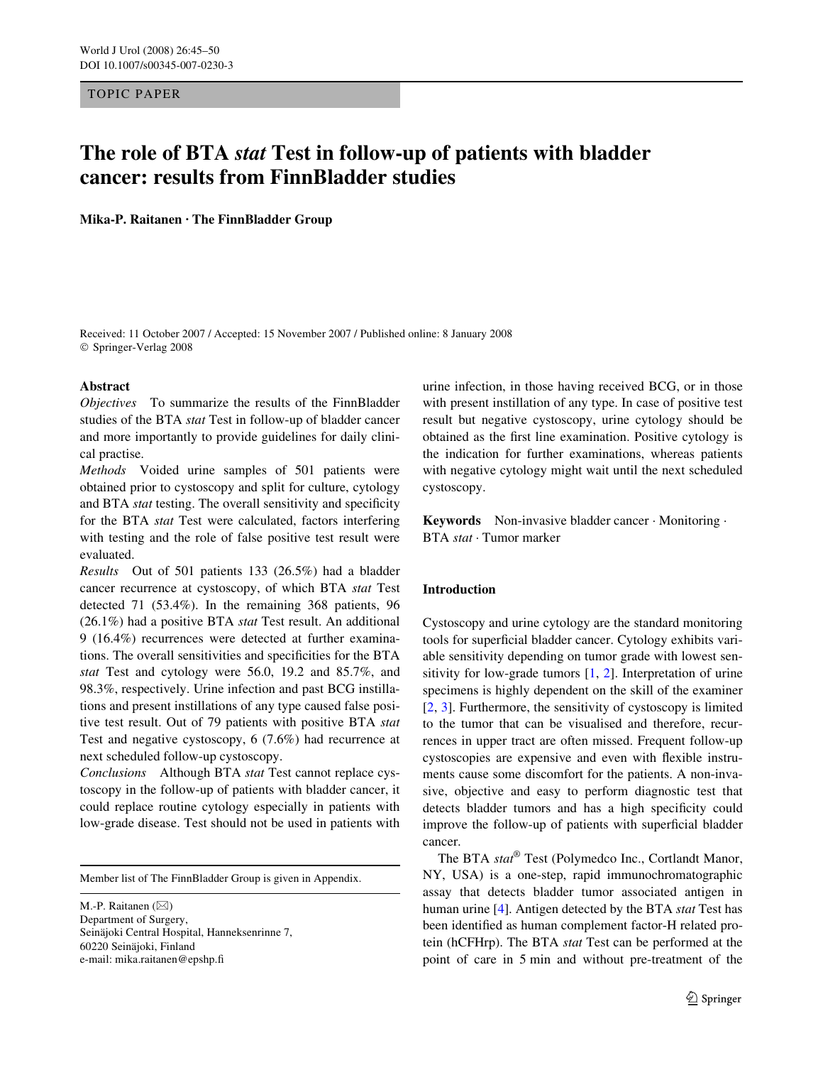## TOPIC PAPER

# **The role of BTA** *stat* **Test in follow-up of patients with bladder cancer: results from FinnBladder studies**

**Mika-P. Raitanen · The FinnBladder Group**

Received: 11 October 2007 / Accepted: 15 November 2007 / Published online: 8 January 2008 © Springer-Verlag 2008

## **Abstract**

*Objectives* To summarize the results of the FinnBladder studies of the BTA *stat* Test in follow-up of bladder cancer and more importantly to provide guidelines for daily clinical practise.

*Methods* Voided urine samples of 501 patients were obtained prior to cystoscopy and split for culture, cytology and BTA *stat* testing. The overall sensitivity and specificity for the BTA *stat* Test were calculated, factors interfering with testing and the role of false positive test result were evaluated.

*Results* Out of 501 patients 133 (26.5%) had a bladder cancer recurrence at cystoscopy, of which BTA *stat* Test detected 71 (53.4%). In the remaining 368 patients, 96 (26.1%) had a positive BTA *stat* Test result. An additional 9 (16.4%) recurrences were detected at further examinations. The overall sensitivities and specificities for the BTA *stat* Test and cytology were 56.0, 19.2 and 85.7%, and 98.3%, respectively. Urine infection and past BCG instillations and present instillations of any type caused false positive test result. Out of 79 patients with positive BTA *stat* Test and negative cystoscopy, 6 (7.6%) had recurrence at next scheduled follow-up cystoscopy.

*Conclusions* Although BTA *stat* Test cannot replace cystoscopy in the follow-up of patients with bladder cancer, it could replace routine cytology especially in patients with low-grade disease. Test should not be used in patients with

Member list of The FinnBladder Group is given in Appendix.

M.-P. Raitanen  $(\boxtimes)$ Department of Surgery, Seinäjoki Central Hospital, Hanneksenrinne 7, 60220 Seinäjoki, Finland e-mail: mika.raitanen@epshp.fi

urine infection, in those having received BCG, or in those with present instillation of any type. In case of positive test result but negative cystoscopy, urine cytology should be obtained as the first line examination. Positive cytology is the indication for further examinations, whereas patients with negative cytology might wait until the next scheduled cystoscopy.

**Keywords** Non-invasive bladder cancer · Monitoring · BTA *stat* · Tumor marker

# **Introduction**

Cystoscopy and urine cytology are the standard monitoring tools for superficial bladder cancer. Cytology exhibits variable sensitivity depending on tumor grade with lowest sensitivity for low-grade tumors  $[1, 2]$ . Interpretation of urine specimens is highly dependent on the skill of the examiner [2, 3]. Furthermore, the sensitivity of cystoscopy is limited to the tumor that can be visualised and therefore, recurrences in upper tract are often missed. Frequent follow-up cystoscopies are expensive and even with flexible instruments cause some discomfort for the patients. A non-invasive, objective and easy to perform diagnostic test that detects bladder tumors and has a high specificity could improve the follow-up of patients with superficial bladder cancer.

The BTA *stat*® Test (Polymedco Inc., Cortlandt Manor, NY, USA) is a one-step, rapid immunochromatographic assay that detects bladder tumor associated antigen in human urine [4]. Antigen detected by the BTA *stat* Test has been identified as human complement factor-H related protein (hCFHrp). The BTA *stat* Test can be performed at the point of care in 5 min and without pre-treatment of the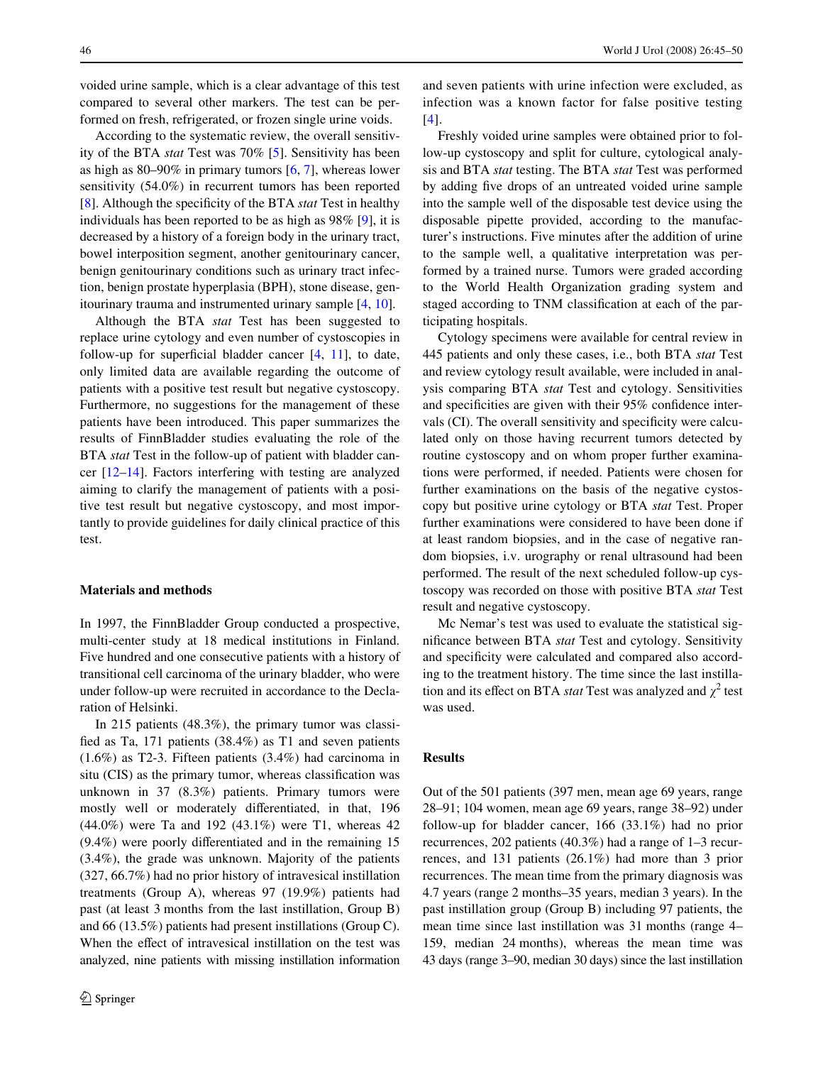voided urine sample, which is a clear advantage of this test compared to several other markers. The test can be performed on fresh, refrigerated, or frozen single urine voids.

According to the systematic review, the overall sensitivity of the BTA *stat* Test was 70% [5]. Sensitivity has been as high as 80–90% in primary tumors [6, 7], whereas lower sensitivity (54.0%) in recurrent tumors has been reported [8]. Although the specificity of the BTA *stat* Test in healthy individuals has been reported to be as high as 98% [9], it is decreased by a history of a foreign body in the urinary tract, bowel interposition segment, another genitourinary cancer, benign genitourinary conditions such as urinary tract infection, benign prostate hyperplasia (BPH), stone disease, genitourinary trauma and instrumented urinary sample [4, 10].

Although the BTA *stat* Test has been suggested to replace urine cytology and even number of cystoscopies in follow-up for superficial bladder cancer  $[4, 11]$ , to date, only limited data are available regarding the outcome of patients with a positive test result but negative cystoscopy. Furthermore, no suggestions for the management of these patients have been introduced. This paper summarizes the results of FinnBladder studies evaluating the role of the BTA *stat* Test in the follow-up of patient with bladder cancer [12–14]. Factors interfering with testing are analyzed aiming to clarify the management of patients with a positive test result but negative cystoscopy, and most importantly to provide guidelines for daily clinical practice of this test.

#### **Materials and methods**

In 1997, the FinnBladder Group conducted a prospective, multi-center study at 18 medical institutions in Finland. Five hundred and one consecutive patients with a history of transitional cell carcinoma of the urinary bladder, who were under follow-up were recruited in accordance to the Declaration of Helsinki.

In 215 patients (48.3%), the primary tumor was classified as Ta, 171 patients  $(38.4%)$  as T1 and seven patients (1.6%) as T2-3. Fifteen patients (3.4%) had carcinoma in situ (CIS) as the primary tumor, whereas classification was unknown in 37 (8.3%) patients. Primary tumors were mostly well or moderately differentiated, in that, 196 (44.0%) were Ta and 192 (43.1%) were T1, whereas 42  $(9.4\%)$  were poorly differentiated and in the remaining 15 (3.4%), the grade was unknown. Majority of the patients (327, 66.7%) had no prior history of intravesical instillation treatments (Group A), whereas 97 (19.9%) patients had past (at least 3 months from the last instillation, Group B) and 66 (13.5%) patients had present instillations (Group C). When the effect of intravesical instillation on the test was analyzed, nine patients with missing instillation information and seven patients with urine infection were excluded, as infection was a known factor for false positive testing [4].

Freshly voided urine samples were obtained prior to follow-up cystoscopy and split for culture, cytological analysis and BTA *stat* testing. The BTA *stat* Test was performed by adding five drops of an untreated voided urine sample into the sample well of the disposable test device using the disposable pipette provided, according to the manufacturer's instructions. Five minutes after the addition of urine to the sample well, a qualitative interpretation was performed by a trained nurse. Tumors were graded according to the World Health Organization grading system and staged according to TNM classification at each of the participating hospitals.

Cytology specimens were available for central review in 445 patients and only these cases, i.e., both BTA *stat* Test and review cytology result available, were included in analysis comparing BTA *stat* Test and cytology. Sensitivities and specificities are given with their  $95\%$  confidence intervals (CI). The overall sensitivity and specificity were calculated only on those having recurrent tumors detected by routine cystoscopy and on whom proper further examinations were performed, if needed. Patients were chosen for further examinations on the basis of the negative cystoscopy but positive urine cytology or BTA *stat* Test. Proper further examinations were considered to have been done if at least random biopsies, and in the case of negative random biopsies, i.v. urography or renal ultrasound had been performed. The result of the next scheduled follow-up cystoscopy was recorded on those with positive BTA *stat* Test result and negative cystoscopy.

Mc Nemar's test was used to evaluate the statistical significance between BTA *stat* Test and cytology. Sensitivity and specificity were calculated and compared also according to the treatment history. The time since the last instillation and its effect on BTA *stat* Test was analyzed and  $\chi^2$  test was used.

#### **Results**

Out of the 501 patients (397 men, mean age 69 years, range 28–91; 104 women, mean age 69 years, range 38–92) under follow-up for bladder cancer, 166 (33.1%) had no prior recurrences, 202 patients (40.3%) had a range of 1–3 recurrences, and 131 patients (26.1%) had more than 3 prior recurrences. The mean time from the primary diagnosis was 4.7 years (range 2 months–35 years, median 3 years). In the past instillation group (Group B) including 97 patients, the mean time since last instillation was 31 months (range 4– 159, median 24 months), whereas the mean time was 43 days (range 3–90, median 30 days) since the last instillation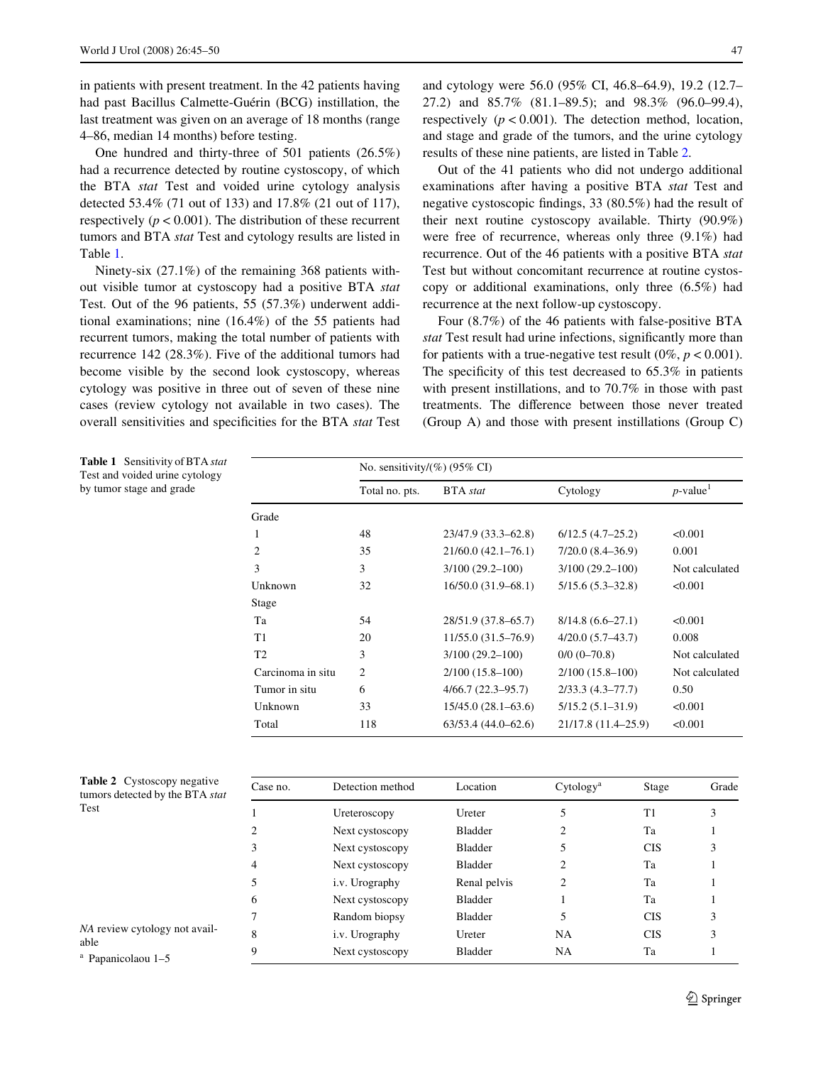in patients with present treatment. In the 42 patients having had past Bacillus Calmette-Guérin (BCG) instillation, the last treatment was given on an average of 18 months (range 4–86, median 14 months) before testing.

One hundred and thirty-three of 501 patients (26.5%) had a recurrence detected by routine cystoscopy, of which the BTA *stat* Test and voided urine cytology analysis detected 53.4% (71 out of 133) and 17.8% (21 out of 117), respectively  $(p < 0.001)$ . The distribution of these recurrent tumors and BTA *stat* Test and cytology results are listed in Table 1.

Ninety-six (27.1%) of the remaining 368 patients without visible tumor at cystoscopy had a positive BTA *stat* Test. Out of the 96 patients, 55 (57.3%) underwent additional examinations; nine (16.4%) of the 55 patients had recurrent tumors, making the total number of patients with recurrence 142 (28.3%). Five of the additional tumors had become visible by the second look cystoscopy, whereas cytology was positive in three out of seven of these nine cases (review cytology not available in two cases). The overall sensitivities and specificities for the BTA *stat* Test and cytology were 56.0 (95% CI, 46.8–64.9), 19.2 (12.7– 27.2) and 85.7% (81.1–89.5); and 98.3% (96.0–99.4), respectively  $(p < 0.001)$ . The detection method, location, and stage and grade of the tumors, and the urine cytology results of these nine patients, are listed in Table 2.

Out of the 41 patients who did not undergo additional examinations after having a positive BTA *stat* Test and negative cystoscopic findings, 33  $(80.5\%)$  had the result of their next routine cystoscopy available. Thirty (90.9%) were free of recurrence, whereas only three (9.1%) had recurrence. Out of the 46 patients with a positive BTA *stat* Test but without concomitant recurrence at routine cystoscopy or additional examinations, only three (6.5%) had recurrence at the next follow-up cystoscopy.

Four (8.7%) of the 46 patients with false-positive BTA stat Test result had urine infections, significantly more than for patients with a true-negative test result  $(0\%, p < 0.001)$ . The specificity of this test decreased to  $65.3\%$  in patients with present instillations, and to 70.7% in those with past treatments. The difference between those never treated (Group A) and those with present instillations (Group C)

**Table 1** Sensitivity of BTA *stat* Test and voided urine cytology by tumor stage and grade

| No. sensitivity/ $(\%)(95\% \text{ CI})$ |  |  |  |  |  |  |
|------------------------------------------|--|--|--|--|--|--|
| $p$ -value <sup>1</sup>                  |  |  |  |  |  |  |
|                                          |  |  |  |  |  |  |
|                                          |  |  |  |  |  |  |
|                                          |  |  |  |  |  |  |
| Not calculated                           |  |  |  |  |  |  |
|                                          |  |  |  |  |  |  |
|                                          |  |  |  |  |  |  |
|                                          |  |  |  |  |  |  |
|                                          |  |  |  |  |  |  |
| Not calculated                           |  |  |  |  |  |  |
| Not calculated                           |  |  |  |  |  |  |
|                                          |  |  |  |  |  |  |
|                                          |  |  |  |  |  |  |
|                                          |  |  |  |  |  |  |
| < 0.001<br>< 0.001<br>< 0.001            |  |  |  |  |  |  |

| <b>Table 2</b> Cystoscopy negative<br>tumors detected by the BTA stat<br>Test | Case no. | Detection method | Location       | Cytology <sup>a</sup> | Stage      | Grade |
|-------------------------------------------------------------------------------|----------|------------------|----------------|-----------------------|------------|-------|
|                                                                               |          | Ureteroscopy     | Ureter         |                       | T1         |       |
|                                                                               |          | Next cystoscopy  | Bladder        |                       | Ta         |       |
|                                                                               |          | Next cystoscopy  | Bladder        |                       | <b>CIS</b> |       |
|                                                                               | 4        | Next cystoscopy  | Bladder        | $\overline{c}$        | Ta         |       |
|                                                                               | 5        | i.v. Urography   | Renal pelvis   |                       | Ta         |       |
|                                                                               | 6        | Next cystoscopy  | Bladder        |                       | Ta         |       |
|                                                                               |          | Random biopsy    | <b>Bladder</b> |                       | <b>CIS</b> |       |
| NA review cytology not avail-<br>able<br><sup>a</sup> Papanicolaou 1-5        | 8        | i.v. Urography   | Ureter         | <b>NA</b>             | <b>CIS</b> |       |
|                                                                               | 9        | Next cystoscopy  | Bladder        | <b>NA</b>             | Ta         |       |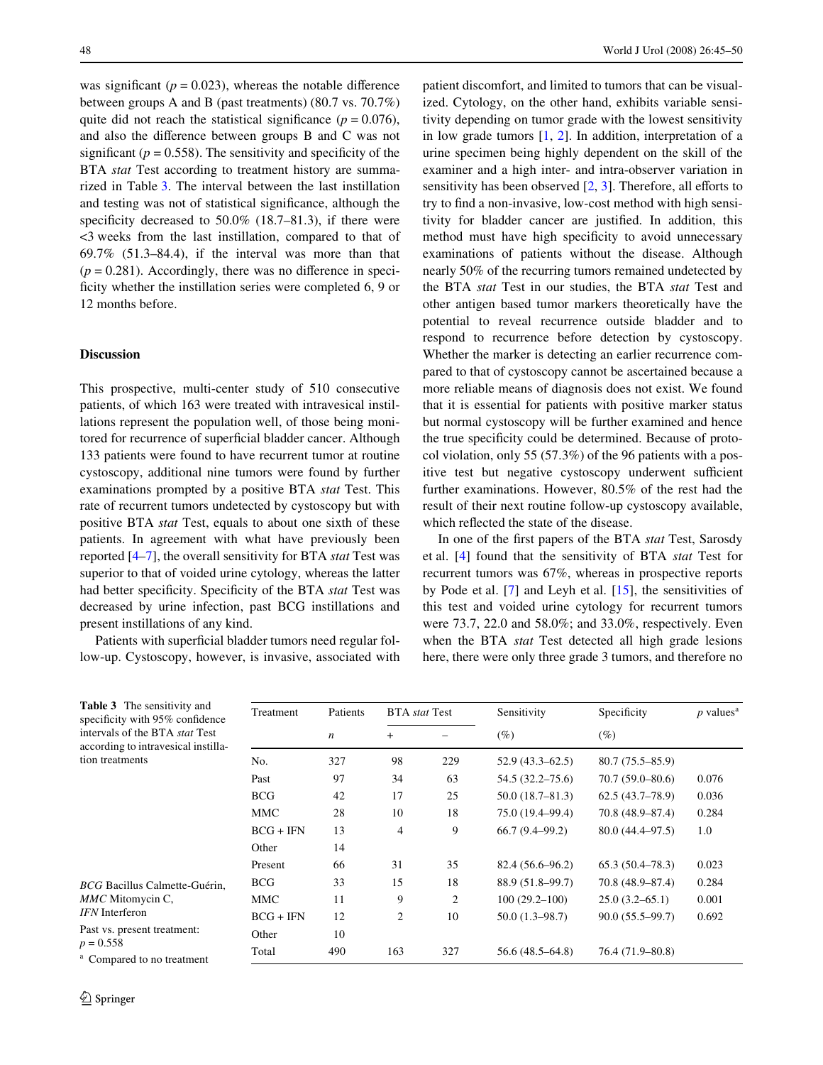was significant ( $p = 0.023$ ), whereas the notable difference between groups A and B (past treatments) (80.7 vs. 70.7%) quite did not reach the statistical significance ( $p = 0.076$ ), and also the difference between groups  $B$  and  $C$  was not significant ( $p = 0.558$ ). The sensitivity and specificity of the BTA *stat* Test according to treatment history are summarized in Table 3. The interval between the last instillation and testing was not of statistical significance, although the specificity decreased to  $50.0\%$  (18.7–81.3), if there were <3 weeks from the last instillation, compared to that of  $69.7\%$   $(51.3-84.4)$ , if the interval was more than that  $(p = 0.281)$ . Accordingly, there was no difference in specificity whether the instillation series were completed 6, 9 or 12 months before.

## **Discussion**

This prospective, multi-center study of 510 consecutive patients, of which 163 were treated with intravesical instillations represent the population well, of those being monitored for recurrence of superficial bladder cancer. Although 133 patients were found to have recurrent tumor at routine cystoscopy, additional nine tumors were found by further examinations prompted by a positive BTA *stat* Test. This rate of recurrent tumors undetected by cystoscopy but with positive BTA *stat* Test, equals to about one sixth of these patients. In agreement with what have previously been reported [4–7], the overall sensitivity for BTA *stat* Test was superior to that of voided urine cytology, whereas the latter had better specificity. Specificity of the BTA *stat* Test was decreased by urine infection, past BCG instillations and present instillations of any kind.

Patients with superficial bladder tumors need regular follow-up. Cystoscopy, however, is invasive, associated with patient discomfort, and limited to tumors that can be visualized. Cytology, on the other hand, exhibits variable sensitivity depending on tumor grade with the lowest sensitivity in low grade tumors [1, 2]. In addition, interpretation of a urine specimen being highly dependent on the skill of the examiner and a high inter- and intra-observer variation in sensitivity has been observed  $[2, 3]$ . Therefore, all efforts to try to find a non-invasive, low-cost method with high sensitivity for bladder cancer are justified. In addition, this method must have high specificity to avoid unnecessary examinations of patients without the disease. Although nearly 50% of the recurring tumors remained undetected by the BTA *stat* Test in our studies, the BTA *stat* Test and other antigen based tumor markers theoretically have the potential to reveal recurrence outside bladder and to respond to recurrence before detection by cystoscopy. Whether the marker is detecting an earlier recurrence compared to that of cystoscopy cannot be ascertained because a more reliable means of diagnosis does not exist. We found that it is essential for patients with positive marker status but normal cystoscopy will be further examined and hence the true specificity could be determined. Because of protocol violation, only 55 (57.3%) of the 96 patients with a positive test but negative cystoscopy underwent sufficient further examinations. However, 80.5% of the rest had the result of their next routine follow-up cystoscopy available, which reflected the state of the disease.

In one of the first papers of the BTA *stat* Test, Sarosdy et al. [4] found that the sensitivity of BTA *stat* Test for recurrent tumors was 67%, whereas in prospective reports by Pode et al. [7] and Leyh et al. [15], the sensitivities of this test and voided urine cytology for recurrent tumors were 73.7, 22.0 and 58.0%; and 33.0%, respectively. Even when the BTA *stat* Test detected all high grade lesions here, there were only three grade 3 tumors, and therefore no

| Treatment   | Patients         | <b>BTA</b> <i>stat</i> Test |     | Sensitivity         | Specificity         | $p$ values <sup>a</sup> |
|-------------|------------------|-----------------------------|-----|---------------------|---------------------|-------------------------|
|             | $\boldsymbol{n}$ | $^{+}$                      |     | $(\%)$              | $(\%)$              |                         |
| No.         | 327              | 98                          | 229 | $52.9(43.3 - 62.5)$ | $80.7(75.5-85.9)$   |                         |
| Past        | 97               | 34                          | 63  | 54.5 (32.2–75.6)    | $70.7(59.0-80.6)$   | 0.076                   |
| <b>BCG</b>  | 42               | 17                          | 25  | $50.0(18.7 - 81.3)$ | 62.5(43.7–78.9)     | 0.036                   |
| <b>MMC</b>  | 28               | 10                          | 18  | 75.0 (19.4–99.4)    | 70.8 (48.9–87.4)    | 0.284                   |
| $BCG + IFN$ | 13               | $\overline{4}$              | 9   | $66.7(9.4 - 99.2)$  | $80.0(44.4 - 97.5)$ | 1.0                     |
| Other       | 14               |                             |     |                     |                     |                         |
| Present     | 66               | 31                          | 35  | 82.4 (56.6–96.2)    | $65.3(50.4-78.3)$   | 0.023                   |
| <b>BCG</b>  | 33               | 15                          | 18  | 88.9 (51.8–99.7)    | 70.8 (48.9–87.4)    | 0.284                   |
| <b>MMC</b>  | 11               | 9                           | 2   | $100(29.2 - 100)$   | $25.0(3.2-65.1)$    | 0.001                   |
| $BCG + IFN$ | 12               | 2                           | 10  | $50.0(1.3 - 98.7)$  | $90.0(55.5 - 99.7)$ | 0.692                   |
| Other       | 10               |                             |     |                     |                     |                         |
| Total       | 490              | 163                         | 327 | 56.6 (48.5–64.8)    | 76.4 (71.9–80.8)    |                         |
|             |                  |                             |     |                     |                     |                         |

**Table 3** The sensitivity and specificity with 95% confidence intervals of the BTA *stat* Test according to intravesical instillation treatments

*BCG* Bacillus Calmette-Guérin, *MMC* Mitomycin C, *IFN* Interferon Past vs. present treatment:  $p = 0.558$ 

<sup>a</sup> Compared to no treatment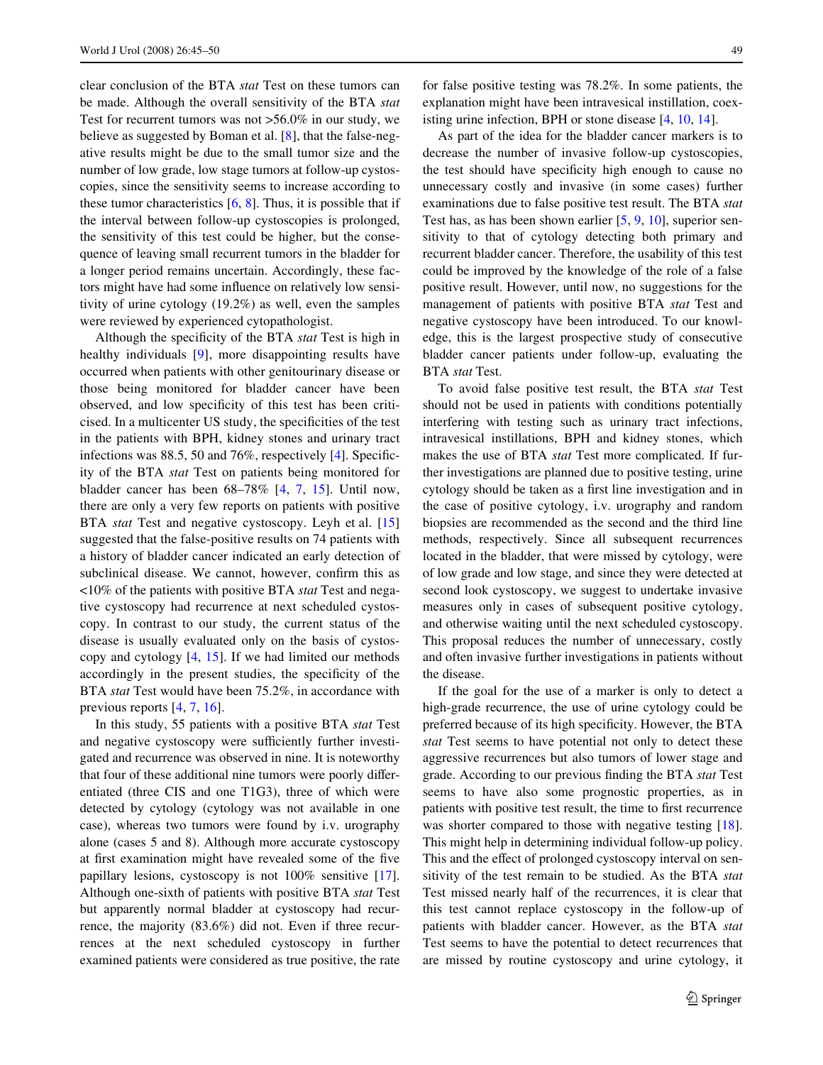clear conclusion of the BTA *stat* Test on these tumors can be made. Although the overall sensitivity of the BTA *stat* Test for recurrent tumors was not >56.0% in our study, we believe as suggested by Boman et al. [8], that the false-negative results might be due to the small tumor size and the number of low grade, low stage tumors at follow-up cystoscopies, since the sensitivity seems to increase according to these tumor characteristics  $[6, 8]$ . Thus, it is possible that if the interval between follow-up cystoscopies is prolonged, the sensitivity of this test could be higher, but the consequence of leaving small recurrent tumors in the bladder for a longer period remains uncertain. Accordingly, these factors might have had some influence on relatively low sensitivity of urine cytology (19.2%) as well, even the samples were reviewed by experienced cytopathologist.

Although the specificity of the BTA *stat* Test is high in healthy individuals [9], more disappointing results have occurred when patients with other genitourinary disease or those being monitored for bladder cancer have been observed, and low specificity of this test has been criticised. In a multicenter US study, the specificities of the test in the patients with BPH, kidney stones and urinary tract infections was  $88.5$ , 50 and  $76\%$ , respectively [4]. Specificity of the BTA *stat* Test on patients being monitored for bladder cancer has been 68–78% [4, 7, 15]. Until now, there are only a very few reports on patients with positive BTA *stat* Test and negative cystoscopy. Leyh et al. [15] suggested that the false-positive results on 74 patients with a history of bladder cancer indicated an early detection of subclinical disease. We cannot, however, confirm this as <10% of the patients with positive BTA *stat* Test and negative cystoscopy had recurrence at next scheduled cystoscopy. In contrast to our study, the current status of the disease is usually evaluated only on the basis of cystoscopy and cytology [4, 15]. If we had limited our methods accordingly in the present studies, the specificity of the BTA *stat* Test would have been 75.2%, in accordance with previous reports [4, 7, 16].

In this study, 55 patients with a positive BTA *stat* Test and negative cystoscopy were sufficiently further investigated and recurrence was observed in nine. It is noteworthy that four of these additional nine tumors were poorly differentiated (three CIS and one T1G3), three of which were detected by cytology (cytology was not available in one case), whereas two tumors were found by i.v. urography alone (cases 5 and 8). Although more accurate cystoscopy at first examination might have revealed some of the five papillary lesions, cystoscopy is not 100% sensitive [17]. Although one-sixth of patients with positive BTA *stat* Test but apparently normal bladder at cystoscopy had recurrence, the majority (83.6%) did not. Even if three recurrences at the next scheduled cystoscopy in further examined patients were considered as true positive, the rate

for false positive testing was 78.2%. In some patients, the explanation might have been intravesical instillation, coexisting urine infection, BPH or stone disease [4, 10, 14].

As part of the idea for the bladder cancer markers is to decrease the number of invasive follow-up cystoscopies, the test should have specificity high enough to cause no unnecessary costly and invasive (in some cases) further examinations due to false positive test result. The BTA *stat* Test has, as has been shown earlier [5, 9, 10], superior sensitivity to that of cytology detecting both primary and recurrent bladder cancer. Therefore, the usability of this test could be improved by the knowledge of the role of a false positive result. However, until now, no suggestions for the management of patients with positive BTA *stat* Test and negative cystoscopy have been introduced. To our knowledge, this is the largest prospective study of consecutive bladder cancer patients under follow-up, evaluating the BTA *stat* Test.

To avoid false positive test result, the BTA *stat* Test should not be used in patients with conditions potentially interfering with testing such as urinary tract infections, intravesical instillations, BPH and kidney stones, which makes the use of BTA *stat* Test more complicated. If further investigations are planned due to positive testing, urine cytology should be taken as a first line investigation and in the case of positive cytology, i.v. urography and random biopsies are recommended as the second and the third line methods, respectively. Since all subsequent recurrences located in the bladder, that were missed by cytology, were of low grade and low stage, and since they were detected at second look cystoscopy, we suggest to undertake invasive measures only in cases of subsequent positive cytology, and otherwise waiting until the next scheduled cystoscopy. This proposal reduces the number of unnecessary, costly and often invasive further investigations in patients without the disease.

If the goal for the use of a marker is only to detect a high-grade recurrence, the use of urine cytology could be preferred because of its high specificity. However, the BTA *stat* Test seems to have potential not only to detect these aggressive recurrences but also tumors of lower stage and grade. According to our previous finding the BTA *stat* Test seems to have also some prognostic properties, as in patients with positive test result, the time to first recurrence was shorter compared to those with negative testing [18]. This might help in determining individual follow-up policy. This and the effect of prolonged cystoscopy interval on sensitivity of the test remain to be studied. As the BTA *stat* Test missed nearly half of the recurrences, it is clear that this test cannot replace cystoscopy in the follow-up of patients with bladder cancer. However, as the BTA *stat* Test seems to have the potential to detect recurrences that are missed by routine cystoscopy and urine cytology, it